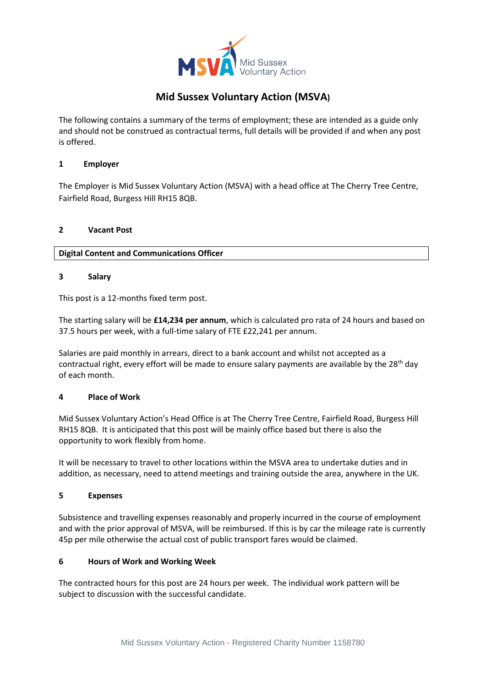

# **Mid Sussex Voluntary Action (MSVA)**

The following contains a summary of the terms of employment; these are intended as a guide only and should not be construed as contractual terms, full details will be provided if and when any post is offered.

# **1 Employer**

The Employer is Mid Sussex Voluntary Action (MSVA) with a head office at The Cherry Tree Centre, Fairfield Road, Burgess Hill RH15 8QB.

# **2 Vacant Post**

**Digital Content and Communications Officer**

# **3 Salary**

This post is a 12-months fixed term post.

The starting salary will be **£14,234 per annum**, which is calculated pro rata of 24 hours and based on 37.5 hours per week, with a full-time salary of FTE £22,241 per annum.

Salaries are paid monthly in arrears, direct to a bank account and whilst not accepted as a contractual right, every effort will be made to ensure salary payments are available by the  $28<sup>th</sup>$  day of each month.

## **4 Place of Work**

Mid Sussex Voluntary Action's Head Office is at The Cherry Tree Centre, Fairfield Road, Burgess Hill RH15 8QB. It is anticipated that this post will be mainly office based but there is also the opportunity to work flexibly from home.

It will be necessary to travel to other locations within the MSVA area to undertake duties and in addition, as necessary, need to attend meetings and training outside the area, anywhere in the UK.

## **5 Expenses**

Subsistence and travelling expenses reasonably and properly incurred in the course of employment and with the prior approval of MSVA, will be reimbursed. If this is by car the mileage rate is currently 45p per mile otherwise the actual cost of public transport fares would be claimed.

## **6 Hours of Work and Working Week**

The contracted hours for this post are 24 hours per week. The individual work pattern will be subject to discussion with the successful candidate.